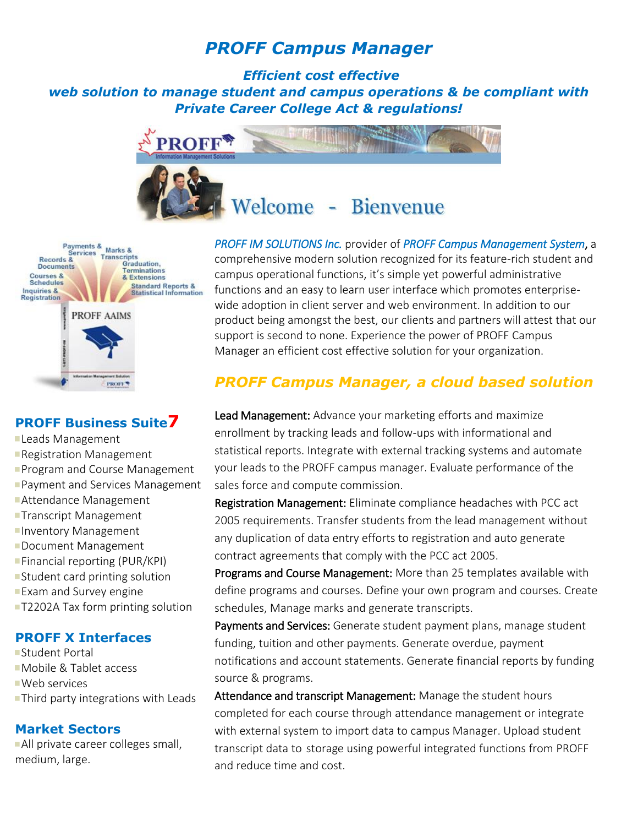# *PROFF Campus Manager*

*Efficient cost effective web solution to manage student and campus operations & be compliant with Private Career College Act & regulations!*





## **PROFF Business Suite7**

- **Leads Management**
- **Registration Management**
- **Program and Course Management**
- **Payment and Services Management**
- Attendance Management
- **Transcript Management**
- **Inventory Management**
- Document Management
- **Financial reporting (PUR/KPI)**
- **Student card printing solution**
- **Exam and Survey engine**
- **T2202A Tax form printing solution**

### **PROFF X Interfaces**

- Student Portal Mobile & Tablet access
- Web services
- **Third party integrations with Leads**

## **Market Sectors**

All private career colleges small, medium, large.

*PROFF IM SOLUTIONS Inc.* provider of *PROFF Campus Management System*, a comprehensive modern solution recognized for its feature-rich student and campus operational functions, it's simple yet powerful administrative functions and an easy to learn user interface which promotes enterprisewide adoption in client server and web environment. In addition to our product being amongst the best, our clients and partners will attest that our support is second to none. Experience the power of PROFF Campus Manager an efficient cost effective solution for your organization.

# *PROFF Campus Manager, a cloud based solution*

Lead Management: Advance your marketing efforts and maximize enrollment by tracking leads and follow-ups with informational and statistical reports. Integrate with external tracking systems and automate your leads to the PROFF campus manager. Evaluate performance of the sales force and compute commission.

Registration Management: Eliminate compliance headaches with PCC act 2005 requirements. Transfer students from the lead management without any duplication of data entry efforts to registration and auto generate contract agreements that comply with the PCC act 2005.

Programs and Course Management: More than 25 templates available with define programs and courses. Define your own program and courses. Create schedules, Manage marks and generate transcripts.

Payments and Services: Generate student payment plans, manage student funding, tuition and other payments. Generate overdue, payment notifications and account statements. Generate financial reports by funding source & programs.

Attendance and transcript Management: Manage the student hours completed for each course through attendance management or integrate with external system to import data to campus Manager. Upload student transcript data to storage using powerful integrated functions from PROFF and reduce time and cost.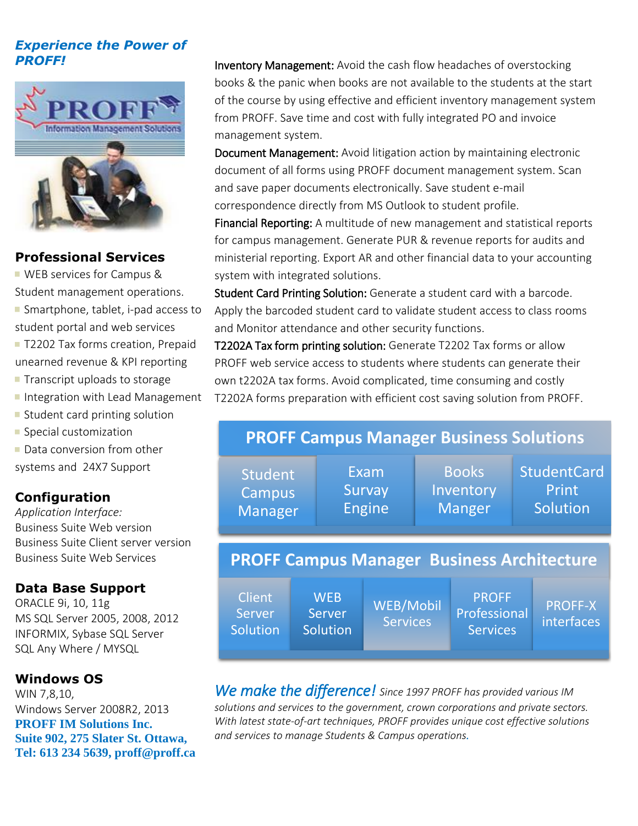# *Experience the Power of PROFF!*



# **Professional Services**

**WEB services for Campus &** Student management operations. **Smartphone, tablet, i-pad access to** student portal and web services

T2202 Tax forms creation, Prepaid unearned revenue & KPI reporting

- $\blacksquare$  Transcript uploads to storage
- Integration with Lead Management
- **Student card printing solution**
- **Special customization**

Data conversion from other systems and 24X7 Support

# **Configuration**

*Application Interface:* Business Suite Web version Business Suite Client server version Business Suite Web Services

# **Data Base Support**

ORACLE 9i, 10, 11g MS SQL Server 2005, 2008, 2012 INFORMIX, Sybase SQL Server SQL Any Where / MYSQL

## **Windows OS**

WIN 7,8,10, Windows Server 2008R2, 2013 **PROFF IM Solutions Inc. Suite 902, 275 Slater St. Ottawa, [Tel: 613 234 5639,](mailto:Tel:%20613%20234%205639) proff@proff.ca** Inventory Management: Avoid the cash flow headaches of overstocking books & the panic when books are not available to the students at the start of the course by using effective and efficient inventory management system from PROFF. Save time and cost with fully integrated PO and invoice management system.

Document Management: Avoid litigation action by maintaining electronic document of all forms using PROFF document management system. Scan and save paper documents electronically. Save student e-mail correspondence directly from MS Outlook to student profile.

Financial Reporting: A multitude of new management and statistical reports for campus management. Generate PUR & revenue reports for audits and ministerial reporting. Export AR and other financial data to your accounting system with integrated solutions.

Student Card Printing Solution: Generate a student card with a barcode. Apply the barcoded student card to validate student access to class rooms and Monitor attendance and other security functions.

T2202A Tax form printing solution: Generate T2202 Tax forms or allow PROFF web service access to students where students can generate their own t2202A tax forms. Avoid complicated, time consuming and costly T2202A forms preparation with efficient cost saving solution from PROFF.

#### **PROFF Campus Manager Business Solutions** Student **Campus** Manager Exam **Survay** Engine **Books Inventory** Manger **StudentCard** Print **Solution PROFF Campus Manager Business Architecture Client** Server **Solution WEB** Server **Solution** WEB/Mobil Services PROFF Professional **Services** PROFF-X interfaces

*We make the difference! Since 1997 PROFF has provided various IM solutions and services to the government, crown corporations and private sectors. With latest state-of-art techniques, PROFF provides unique cost effective solutions and services to manage Students & Campus operations.*